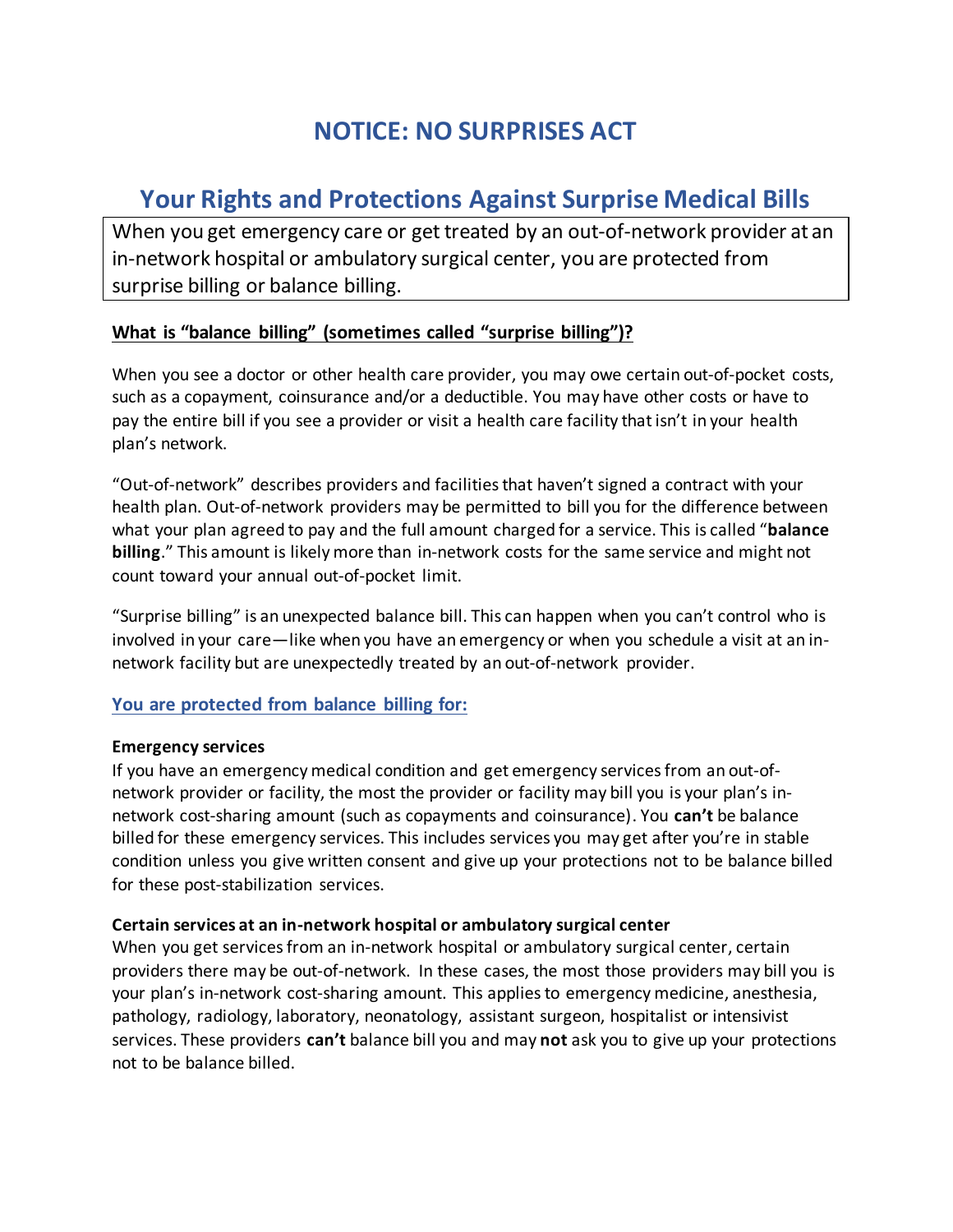# **NOTICE: NO SURPRISES ACT**

# **Your Rights and Protections Against Surprise Medical Bills**

When you get emergency care or get treated by an out-of-network provider at an in-network hospital or ambulatory surgical center, you are protected from surprise billing or balance billing.

## **What is "balance billing" (sometimes called "surprise billing")?**

When you see a doctor or other health care provider, you may owe certain out-of-pocket costs, such as a copayment, coinsurance and/or a deductible. You may have other costs or have to pay the entire bill if you see a provider or visit a health care facility that isn't in your health plan's network.

"Out-of-network" describes providers and facilities that haven't signed a contract with your health plan. Out-of-network providers may be permitted to bill you for the difference between what your plan agreed to pay and the full amount charged for a service. This is called "balance **billing**." This amount is likely more than in-network costs for the same service and might not count toward your annual out-of-pocket limit.

"Surprise billing" is an unexpected balance bill. This can happen when you can't control who is involved in your care—like when you have an emergency or when you schedule a visit at an innetwork facility but are unexpectedly treated by an out-of-network provider.

### **You are protected from balance billing for:**

#### **Emergency services**

If you have an emergency medical condition and get emergency services from an out-ofnetwork provider or facility, the most the provider or facility may bill you is your plan's innetwork cost-sharing amount (such as copayments and coinsurance). You can't be balance billed for these emergency services. This includes services you may get after you're in stable condition unless you give written consent and give up your protections not to be balance billed for these post-stabilization services.

#### **Certain services at an in-network hospital or ambulatory surgical center**

When you get services from an in-network hospital or ambulatory surgical center, certain providers there may be out-of-network. In these cases, the most those providers may bill you is your plan's in-network cost-sharing amount. This applies to emergency medicine, anesthesia, pathology, radiology, laboratory, neonatology, assistant surgeon, hospitalist or intensivist services. These providers can't balance bill you and may not ask you to give up your protections not to be balance billed.